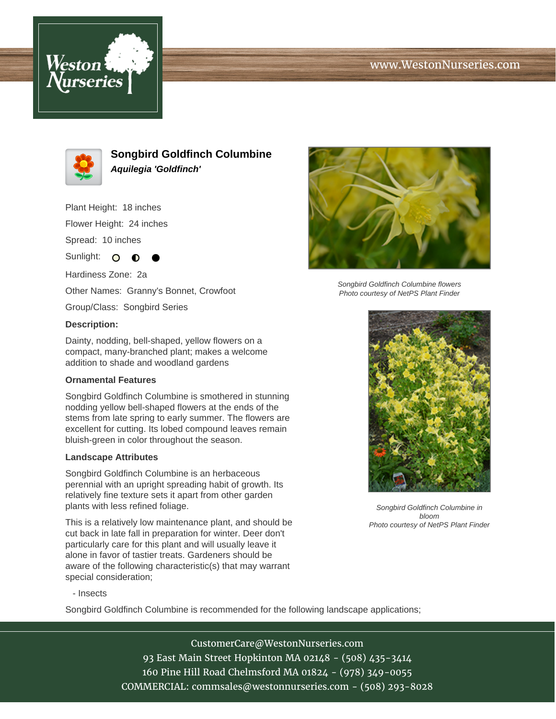# www.WestonNurseries.com





**Songbird Goldfinch Columbine Aquilegia 'Goldfinch'**

Plant Height: 18 inches Flower Height: 24 inches

Spread: 10 inches

Sunlight:  $\mathbf O$ ∩

Hardiness Zone: 2a Other Names: Granny's Bonnet, Crowfoot

Group/Class: Songbird Series

### **Description:**

Dainty, nodding, bell-shaped, yellow flowers on a compact, many-branched plant; makes a welcome addition to shade and woodland gardens

### **Ornamental Features**

Songbird Goldfinch Columbine is smothered in stunning nodding yellow bell-shaped flowers at the ends of the stems from late spring to early summer. The flowers are excellent for cutting. Its lobed compound leaves remain bluish-green in color throughout the season.

### **Landscape Attributes**

Songbird Goldfinch Columbine is an herbaceous perennial with an upright spreading habit of growth. Its relatively fine texture sets it apart from other garden plants with less refined foliage.

This is a relatively low maintenance plant, and should be cut back in late fall in preparation for winter. Deer don't particularly care for this plant and will usually leave it alone in favor of tastier treats. Gardeners should be aware of the following characteristic(s) that may warrant special consideration;



Songbird Goldfinch Columbine flowers Photo courtesy of NetPS Plant Finder



Songbird Goldfinch Columbine in bloom Photo courtesy of NetPS Plant Finder

- Insects

Songbird Goldfinch Columbine is recommended for the following landscape applications;

CustomerCare@WestonNurseries.com

93 East Main Street Hopkinton MA 02148 - (508) 435-3414 160 Pine Hill Road Chelmsford MA 01824 - (978) 349-0055 COMMERCIAL: commsales@westonnurseries.com - (508) 293-8028